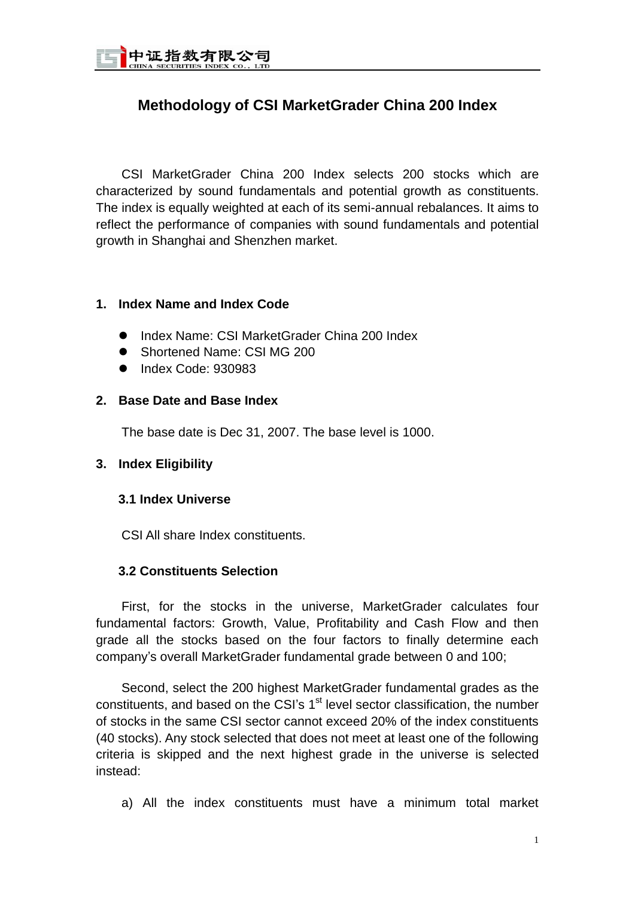

# **Methodology of CSI MarketGrader China 200 Index**

CSI MarketGrader China 200 Index selects 200 stocks which are characterized by sound fundamentals and potential growth as constituents. The index is equally weighted at each of its semi-annual rebalances. It aims to reflect the performance of companies with sound fundamentals and potential growth in Shanghai and Shenzhen market.

### **1. Index Name and Index Code**

- Index Name: CSI MarketGrader China 200 Index
- Shortened Name: CSI MG 200
- $\bullet$  Index Code: 930983

### **2. Base Date and Base Index**

The base date is Dec 31, 2007. The base level is 1000.

## **3. Index Eligibility**

#### **3.1 Index Universe**

CSI All share Index constituents.

## **3.2 Constituents Selection**

First, for the stocks in the universe, MarketGrader calculates four fundamental factors: Growth, Value, Profitability and Cash Flow and then grade all the stocks based on the four factors to finally determine each company's overall MarketGrader fundamental grade between 0 and 100;

Second, select the 200 highest MarketGrader fundamental grades as the constituents, and based on the CSI's  $1<sup>st</sup>$  level sector classification, the number of stocks in the same CSI sector cannot exceed 20% of the index constituents (40 stocks). Any stock selected that does not meet at least one of the following criteria is skipped and the next highest grade in the universe is selected instead:

a) All the index constituents must have a minimum total market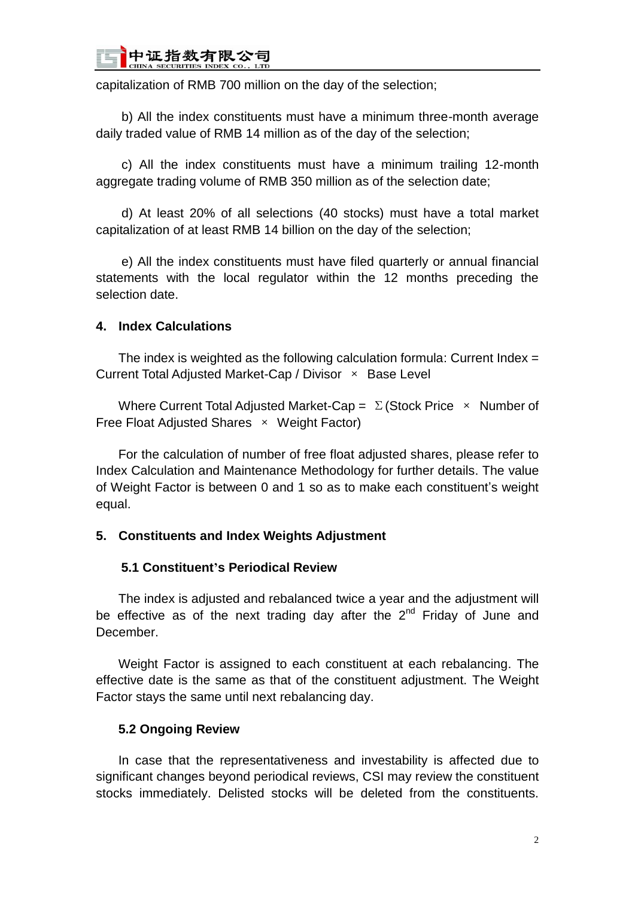

capitalization of RMB 700 million on the day of the selection;

b) All the index constituents must have a minimum three-month average daily traded value of RMB 14 million as of the day of the selection;

c) All the index constituents must have a minimum trailing 12-month aggregate trading volume of RMB 350 million as of the selection date;

d) At least 20% of all selections (40 stocks) must have a total market capitalization of at least RMB 14 billion on the day of the selection;

e) All the index constituents must have filed quarterly or annual financial statements with the local regulator within the 12 months preceding the selection date.

#### **4. Index Calculations**

The index is weighted as the following calculation formula: Current Index  $=$ Current Total Adjusted Market-Cap / Divisor × Base Level

Where Current Total Adjusted Market-Cap =  $\Sigma$  (Stock Price  $\times$  Number of Free Float Adjusted Shares × Weight Factor)

For the calculation of number of free float adjusted shares, please refer to Index Calculation and Maintenance Methodology for further details. The value of Weight Factor is between 0 and 1 so as to make each constituent's weight equal.

#### **5. Constituents and Index Weights Adjustment**

#### **5.1 Constituent's Periodical Review**

The index is adjusted and rebalanced twice a year and the adjustment will be effective as of the next trading day after the  $2^{nd}$  Friday of June and December.

Weight Factor is assigned to each constituent at each rebalancing. The effective date is the same as that of the constituent adjustment. The Weight Factor stays the same until next rebalancing day.

### **5.2 Ongoing Review**

In case that the representativeness and investability is affected due to significant changes beyond periodical reviews, CSI may review the constituent stocks immediately. Delisted stocks will be deleted from the constituents.